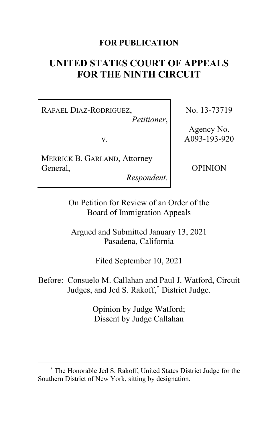## **FOR PUBLICATION**

# **UNITED STATES COURT OF APPEALS FOR THE NINTH CIRCUIT**

RAFAEL DIAZ-RODRIGUEZ,

*Petitioner*,

v.

MERRICK B. GARLAND, Attorney General,

*Respondent.*

No. 13-73719

Agency No. A093-193-920

OPINION

On Petition for Review of an Order of the Board of Immigration Appeals

Argued and Submitted January 13, 2021 Pasadena, California

Filed September 10, 2021

Before: Consuelo M. Callahan and Paul J. Watford, Circuit Judges, and Jed S. Rakoff,[\\*](#page-0-0) District Judge.

> Opinion by Judge Watford; Dissent by Judge Callahan

<span id="page-0-0"></span><sup>\*</sup> The Honorable Jed S. Rakoff, United States District Judge for the Southern District of New York, sitting by designation.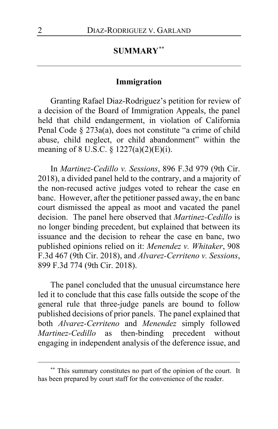## **SUMMARY**[\\*\\*](#page-1-0)

### **Immigration**

Granting Rafael Diaz-Rodriguez's petition for review of a decision of the Board of Immigration Appeals, the panel held that child endangerment, in violation of California Penal Code § 273a(a), does not constitute "a crime of child abuse, child neglect, or child abandonment" within the meaning of 8 U.S.C. § 1227(a)(2)(E)(i).

In *Martinez-Cedillo v. Sessions*, 896 F.3d 979 (9th Cir. 2018), a divided panel held to the contrary, and a majority of the non-recused active judges voted to rehear the case en banc. However, after the petitioner passed away, the en banc court dismissed the appeal as moot and vacated the panel decision. The panel here observed that *Martinez-Cedillo* is no longer binding precedent, but explained that between its issuance and the decision to rehear the case en banc, two published opinions relied on it: *Menendez v. Whitaker*, 908 F.3d 467 (9th Cir. 2018), and *Alvarez-Cerriteno v. Sessions*, 899 F.3d 774 (9th Cir. 2018).

The panel concluded that the unusual circumstance here led it to conclude that this case falls outside the scope of the general rule that three-judge panels are bound to follow published decisions of prior panels. The panel explained that both *Alvarez-Cerriteno* and *Menendez* simply followed *Martinez-Cedillo* as then-binding precedent without engaging in independent analysis of the deference issue, and

<span id="page-1-0"></span><sup>\*\*</sup> This summary constitutes no part of the opinion of the court. It has been prepared by court staff for the convenience of the reader.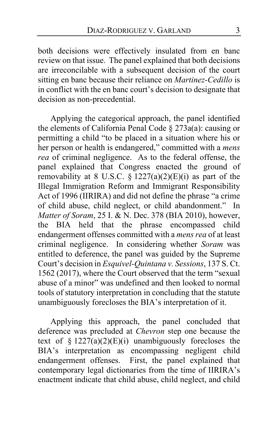both decisions were effectively insulated from en banc review on that issue. The panel explained that both decisions are irreconcilable with a subsequent decision of the court sitting en banc because their reliance on *Martinez-Cedillo* is in conflict with the en banc court's decision to designate that decision as non-precedential.

Applying the categorical approach, the panel identified the elements of California Penal Code § 273a(a): causing or permitting a child "to be placed in a situation where his or her person or health is endangered," committed with a *mens rea* of criminal negligence. As to the federal offense, the panel explained that Congress enacted the ground of removability at 8 U.S.C.  $\overline{\S}$  1227(a)(2)(E)(i) as part of the Illegal Immigration Reform and Immigrant Responsibility Act of 1996 (IIRIRA) and did not define the phrase "a crime of child abuse, child neglect, or child abandonment." In *Matter of Soram*, 25 I. & N. Dec. 378 (BIA 2010), however, the BIA held that the phrase encompassed child endangerment offenses committed with a *mens rea* of at least criminal negligence. In considering whether *Soram* was entitled to deference, the panel was guided by the Supreme Court's decision in *Esquivel-Quintana v. Sessions*, 137 S. Ct. 1562 (2017), where the Court observed that the term "sexual abuse of a minor" was undefined and then looked to normal tools of statutory interpretation in concluding that the statute unambiguously forecloses the BIA's interpretation of it.

Applying this approach, the panel concluded that deference was precluded at *Chevron* step one because the text of §  $1227(a)(2)(E)(i)$  unambiguously forecloses the BIA's interpretation as encompassing negligent child endangerment offenses. First, the panel explained that contemporary legal dictionaries from the time of IIRIRA's enactment indicate that child abuse, child neglect, and child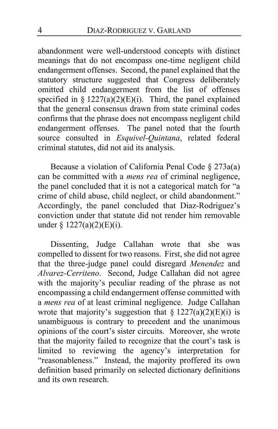abandonment were well-understood concepts with distinct meanings that do not encompass one-time negligent child endangerment offenses. Second, the panel explained that the statutory structure suggested that Congress deliberately omitted child endangerment from the list of offenses specified in §  $1227(a)(2)(E)(i)$ . Third, the panel explained that the general consensus drawn from state criminal codes confirms that the phrase does not encompass negligent child endangerment offenses. The panel noted that the fourth source consulted in *Esquivel-Quintana*, related federal criminal statutes, did not aid its analysis.

Because a violation of California Penal Code § 273a(a) can be committed with a *mens rea* of criminal negligence, the panel concluded that it is not a categorical match for "a crime of child abuse, child neglect, or child abandonment." Accordingly, the panel concluded that Diaz-Rodriguez's conviction under that statute did not render him removable under § 1227(a)(2)(E)(i).

Dissenting, Judge Callahan wrote that she was compelled to dissent for two reasons. First, she did not agree that the three-judge panel could disregard *Menendez* and *Alvarez-Cerriteno*. Second, Judge Callahan did not agree with the majority's peculiar reading of the phrase as not encompassing a child endangerment offense committed with a *mens rea* of at least criminal negligence. Judge Callahan wrote that majority's suggestion that  $\S 1227(a)(2)(E)(i)$  is unambiguous is contrary to precedent and the unanimous opinions of the court's sister circuits. Moreover, she wrote that the majority failed to recognize that the court's task is limited to reviewing the agency's interpretation for "reasonableness." Instead, the majority proffered its own definition based primarily on selected dictionary definitions and its own research.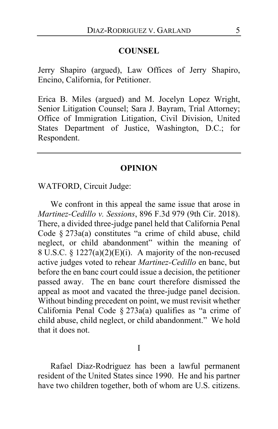#### **COUNSEL**

Jerry Shapiro (argued), Law Offices of Jerry Shapiro, Encino, California, for Petitioner.

Erica B. Miles (argued) and M. Jocelyn Lopez Wright, Senior Litigation Counsel; Sara J. Bayram, Trial Attorney; Office of Immigration Litigation, Civil Division, United States Department of Justice, Washington, D.C.; for Respondent.

#### **OPINION**

### WATFORD, Circuit Judge:

We confront in this appeal the same issue that arose in *Martinez-Cedillo v. Sessions*, 896 F.3d 979 (9th Cir. 2018). There, a divided three-judge panel held that California Penal Code § 273a(a) constitutes "a crime of child abuse, child neglect, or child abandonment" within the meaning of 8 U.S.C. § 1227(a)(2)(E)(i). A majority of the non-recused active judges voted to rehear *Martinez-Cedillo* en banc, but before the en banc court could issue a decision, the petitioner passed away. The en banc court therefore dismissed the appeal as moot and vacated the three-judge panel decision. Without binding precedent on point, we must revisit whether California Penal Code  $\S 273a(a)$  qualifies as "a crime of child abuse, child neglect, or child abandonment." We hold that it does not.

I

Rafael Diaz-Rodriguez has been a lawful permanent resident of the United States since 1990. He and his partner have two children together, both of whom are U.S. citizens.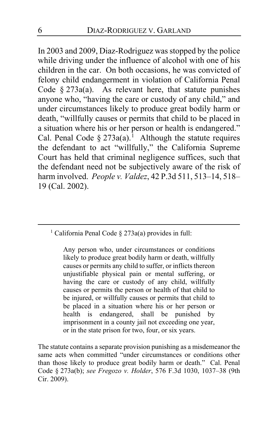In 2003 and 2009, Diaz-Rodriguez was stopped by the police while driving under the influence of alcohol with one of his children in the car. On both occasions, he was convicted of felony child endangerment in violation of California Penal Code  $§$  273a(a). As relevant here, that statute punishes anyone who, "having the care or custody of any child," and under circumstances likely to produce great bodily harm or death, "willfully causes or permits that child to be placed in a situation where his or her person or health is endangered." Cal. Penal Code  $\S 273a(a)$ .<sup>[1](#page-5-0)</sup> Although the statute requires the defendant to act "willfully," the California Supreme Court has held that criminal negligence suffices, such that the defendant need not be subjectively aware of the risk of harm involved. *People v. Valdez*, 42 P.3d 511, 513–14, 518– 19 (Cal. 2002).

<span id="page-5-0"></span><sup>1</sup> California Penal Code § 273a(a) provides in full:

Any person who, under circumstances or conditions likely to produce great bodily harm or death, willfully causes or permits any child to suffer, or inflicts thereon unjustifiable physical pain or mental suffering, or having the care or custody of any child, willfully causes or permits the person or health of that child to be injured, or willfully causes or permits that child to be placed in a situation where his or her person or health is endangered, shall be punished by imprisonment in a county jail not exceeding one year, or in the state prison for two, four, or six years.

The statute contains a separate provision punishing as a misdemeanor the same acts when committed "under circumstances or conditions other than those likely to produce great bodily harm or death." Cal. Penal Code § 273a(b); *see Fregozo v. Holder*, 576 F.3d 1030, 1037–38 (9th Cir. 2009).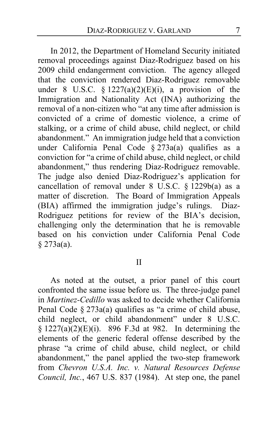In 2012, the Department of Homeland Security initiated removal proceedings against Diaz-Rodriguez based on his 2009 child endangerment conviction. The agency alleged that the conviction rendered Diaz-Rodriguez removable under 8 U.S.C.  $\S 1227(a)(2)(E)(i)$ , a provision of the Immigration and Nationality Act (INA) authorizing the removal of a non-citizen who "at any time after admission is convicted of a crime of domestic violence, a crime of stalking, or a crime of child abuse, child neglect, or child abandonment." An immigration judge held that a conviction under California Penal Code § 273a(a) qualifies as a conviction for "a crime of child abuse, child neglect, or child abandonment," thus rendering Diaz-Rodriguez removable. The judge also denied Diaz-Rodriguez's application for cancellation of removal under 8 U.S.C. § 1229b(a) as a matter of discretion. The Board of Immigration Appeals (BIA) affirmed the immigration judge's rulings. Diaz-Rodriguez petitions for review of the BIA's decision, challenging only the determination that he is removable based on his conviction under California Penal Code § 273a(a).

### <span id="page-6-0"></span>II

As noted at the outset, a prior panel of this court confronted the same issue before us. The three-judge panel in *Martinez-Cedillo* was asked to decide whether California Penal Code § 273a(a) qualifies as "a crime of child abuse, child neglect, or child abandonment" under 8 U.S.C.  $§ 1227(a)(2)(E)(i)$ . 896 F.3d at 982. In determining the elements of the generic federal offense described by the phrase "a crime of child abuse, child neglect, or child abandonment," the panel applied the two-step framework from *Chevron U.S.A. Inc. v. Natural Resources Defense Council, Inc.*, 467 U.S. 837 (1984). At step one, the panel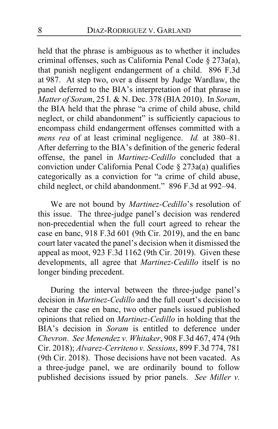held that the phrase is ambiguous as to whether it includes criminal offenses, such as California Penal Code § 273a(a), that punish negligent endangerment of a child. 896 F.3d at 987. At step two, over a dissent by Judge Wardlaw, the panel deferred to the BIA's interpretation of that phrase in *Matter of Soram*, 25 I. & N. Dec. 378 (BIA 2010). In *Soram*, the BIA held that the phrase "a crime of child abuse, child neglect, or child abandonment" is sufficiently capacious to encompass child endangerment offenses committed with a *mens rea* of at least criminal negligence. *Id.* at 380–81. After deferring to the BIA's definition of the generic federal offense, the panel in *Martinez-Cedillo* concluded that a conviction under California Penal Code § 273a(a) qualifies categorically as a conviction for "a crime of child abuse, child neglect, or child abandonment." 896 F.3d at 992–94.

We are not bound by *Martinez-Cedillo*'s resolution of this issue. The three-judge panel's decision was rendered non-precedential when the full court agreed to rehear the case en banc, 918 F.3d 601 (9th Cir. 2019), and the en banc court later vacated the panel's decision when it dismissed the appeal as moot, 923 F.3d 1162 (9th Cir. 2019). Given these developments, all agree that *Martinez-Cedillo* itself is no longer binding precedent.

During the interval between the three-judge panel's decision in *Martinez-Cedillo* and the full court's decision to rehear the case en banc, two other panels issued published opinions that relied on *Martinez-Cedillo* in holding that the BIA's decision in *Soram* is entitled to deference under *Chevron*. *See Menendez v. Whitaker*, 908 F.3d 467, 474 (9th Cir. 2018); *Alvarez-Cerriteno v. Sessions*, 899 F.3d 774, 781 (9th Cir. 2018). Those decisions have not been vacated. As a three-judge panel, we are ordinarily bound to follow published decisions issued by prior panels. *See Miller v.*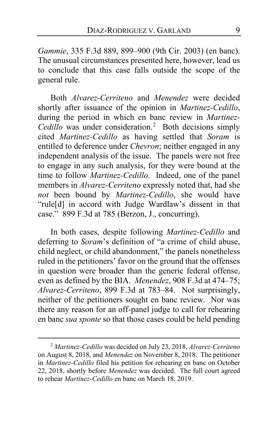*Gammie*, 335 F.3d 889, 899–900 (9th Cir. 2003) (en banc). The unusual circumstances presented here, however, lead us to conclude that this case falls outside the scope of the general rule.

Both *Alvarez-Cerriteno* and *Menendez* were decided shortly after issuance of the opinion in *Martinez-Cedillo*, during the period in which en banc review in *Martinez-*Cedillo was under consideration.<sup>[2](#page-8-0)</sup> Both decisions simply cited *Martinez-Cedillo* as having settled that *Soram* is entitled to deference under *Chevron*; neither engaged in any independent analysis of the issue. The panels were not free to engage in any such analysis, for they were bound at the time to follow *Martinez-Cedillo*. Indeed, one of the panel members in *Alvarez-Cerriteno* expressly noted that, had she *not* been bound by *Martinez-Cedillo*, she would have "rule[d] in accord with Judge Wardlaw's dissent in that case." 899 F.3d at 785 (Berzon, J., concurring).

In both cases, despite following *Martinez-Cedillo* and deferring to *Soram*'s definition of "a crime of child abuse, child neglect, or child abandonment," the panels nonetheless ruled in the petitioners' favor on the ground that the offenses in question were broader than the generic federal offense, even as defined by the BIA. *Menendez*, 908 F.3d at 474–75; *Alvarez-Cerriteno*, 899 F.3d at 783–84. Not surprisingly, neither of the petitioners sought en banc review. Nor was there any reason for an off-panel judge to call for rehearing en banc *sua sponte* so that those cases could be held pending

<span id="page-8-0"></span><sup>2</sup> *Martinez-Cedillo* was decided on July 23, 2018, *Alvarez-Cerriteno* on August 8, 2018, and *Menendez* on November 8, 2018. The petitioner in *Martinez-Cedillo* filed his petition for rehearing en banc on October 22, 2018, shortly before *Menendez* was decided. The full court agreed to rehear *Martinez-Cedillo* en banc on March 18, 2019.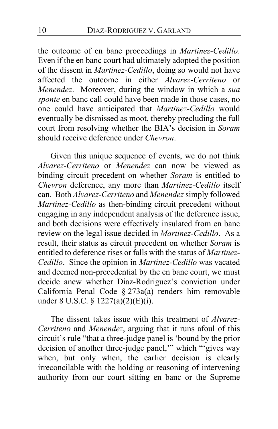the outcome of en banc proceedings in *Martinez-Cedillo*. Even if the en banc court had ultimately adopted the position of the dissent in *Martinez-Cedillo*, doing so would not have affected the outcome in either *Alvarez-Cerriteno* or *Menendez*. Moreover, during the window in which a *sua sponte* en banc call could have been made in those cases, no one could have anticipated that *Martinez-Cedillo* would eventually be dismissed as moot, thereby precluding the full court from resolving whether the BIA's decision in *Soram* should receive deference under *Chevron*.

<span id="page-9-0"></span>Given this unique sequence of events, we do not think *Alvarez-Cerriteno* or *Menendez* can now be viewed as binding circuit precedent on whether *Soram* is entitled to *Chevron* deference, any more than *Martinez-Cedillo* itself can. Both *Alvarez-Cerriteno* and *Menendez* simply followed *Martinez-Cedillo* as then-binding circuit precedent without engaging in any independent analysis of the deference issue, and both decisions were effectively insulated from en banc review on the legal issue decided in *Martinez-Cedillo*. As a result, their status as circuit precedent on whether *Soram* is entitled to deference rises or falls with the status of *Martinez-Cedillo*. Since the opinion in *Martinez-Cedillo* was vacated and deemed non-precedential by the en banc court, we must decide anew whether Diaz-Rodriguez's conviction under California Penal Code § 273a(a) renders him removable under 8 U.S.C. § 1227(a)(2)(E)(i).

The dissent takes issue with this treatment of *Alvarez-Cerriteno* and *Menendez*, arguing that it runs afoul of this circuit's rule "that a three-judge panel is 'bound by the prior decision of another three-judge panel,'" which "'gives way when, but only when, the earlier decision is clearly irreconcilable with the holding or reasoning of intervening authority from our court sitting en banc or the Supreme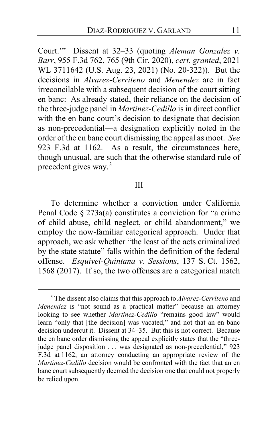Court.'" Dissent at [32](#page-31-0)[–33](#page-32-0) (quoting *Aleman Gonzalez v. Barr*, 955 F.3d 762, 765 (9th Cir. 2020), *cert. granted*, 2021 WL 3711642 (U.S. Aug. 23, 2021) (No. 20-322)). But the decisions in *Alvarez-Cerriteno* and *Menendez* are in fact irreconcilable with a subsequent decision of the court sitting en banc: As already stated, their reliance on the decision of the three-judge panel in *Martinez-Cedillo* is in direct conflict with the en banc court's decision to designate that decision as non-precedential—a designation explicitly noted in the order of the en banc court dismissing the appeal as moot. *See*  923 F.3d at 1162. As a result, the circumstances here, though unusual, are such that the otherwise standard rule of precedent gives way.[3](#page-10-0)

#### <span id="page-10-1"></span>III

<span id="page-10-2"></span>To determine whether a conviction under California Penal Code § 273a(a) constitutes a conviction for "a crime of child abuse, child neglect, or child abandonment," we employ the now-familiar categorical approach. Under that approach, we ask whether "the least of the acts criminalized by the state statute" falls within the definition of the federal offense. *Esquivel-Quintana v. Sessions*, 137 S. Ct. 1562, 1568 (2017). If so, the two offenses are a categorical match

<span id="page-10-0"></span><sup>3</sup> The dissent also claims that this approach to *Alvarez-Cerriteno* and *Menendez* is "not sound as a practical matter" because an attorney looking to see whether *Martinez-Cedillo* "remains good law" would learn "only that [the decision] was vacated," and not that an en banc decision undercut it. Dissent a[t 34](#page-33-0)[–35.](#page-34-0) But this is not correct. Because the en banc order dismissing the appeal explicitly states that the "threejudge panel disposition . . . was designated as non-precedential," 923 F.3d at 1162, an attorney conducting an appropriate review of the *Martinez-Cedillo* decision would be confronted with the fact that an en banc court subsequently deemed the decision one that could not properly be relied upon.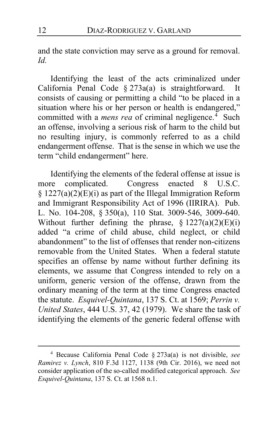and the state conviction may serve as a ground for removal. *Id.*

Identifying the least of the acts criminalized under California Penal Code § 273a(a) is straightforward. It consists of causing or permitting a child "to be placed in a situation where his or her person or health is endangered," committed with a *mens rea* of criminal negligence.<sup>[4](#page-11-0)</sup> Such an offense, involving a serious risk of harm to the child but no resulting injury, is commonly referred to as a child endangerment offense. That is the sense in which we use the term "child endangerment" here.

<span id="page-11-1"></span>Identifying the elements of the federal offense at issue is more complicated. Congress enacted 8 U.S.C. § 1227(a)(2)(E)(i) as part of the Illegal Immigration Reform and Immigrant Responsibility Act of 1996 (IIRIRA). Pub. L. No. 104-208, § 350(a), 110 Stat. 3009-546, 3009-640. Without further defining the phrase,  $\S 1227(a)(2)(E)(i)$ added "a crime of child abuse, child neglect, or child abandonment" to the list of offenses that render non-citizens removable from the United States. When a federal statute specifies an offense by name without further defining its elements, we assume that Congress intended to rely on a uniform, generic version of the offense, drawn from the ordinary meaning of the term at the time Congress enacted the statute. *Esquivel-Quintana*, 137 S. Ct. at 1569; *Perrin v. United States*, 444 U.S. 37, 42 (1979). We share the task of identifying the elements of the generic federal offense with

<span id="page-11-0"></span><sup>4</sup> Because California Penal Code § 273a(a) is not divisible, *see Ramirez v. Lynch*, 810 F.3d 1127, 1138 (9th Cir. 2016), we need not consider application of the so-called modified categorical approach. *See Esquivel-Quintana*, 137 S. Ct. at 1568 n.1.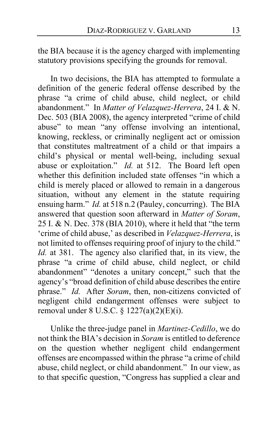the BIA because it is the agency charged with implementing statutory provisions specifying the grounds for removal.

In two decisions, the BIA has attempted to formulate a definition of the generic federal offense described by the phrase "a crime of child abuse, child neglect, or child abandonment." In *Matter of Velazquez-Herrera*, 24 I. & N. Dec. 503 (BIA 2008), the agency interpreted "crime of child abuse" to mean "any offense involving an intentional, knowing, reckless, or criminally negligent act or omission that constitutes maltreatment of a child or that impairs a child's physical or mental well-being, including sexual abuse or exploitation." *Id.* at 512. The Board left open whether this definition included state offenses "in which a child is merely placed or allowed to remain in a dangerous situation, without any element in the statute requiring ensuing harm." *Id.* at 518 n.2 (Pauley, concurring). The BIA answered that question soon afterward in *Matter of Soram*, 25 I. & N. Dec. 378 (BIA 2010), where it held that "the term 'crime of child abuse,' as described in *Velazquez-Herrera*, is not limited to offenses requiring proof of injury to the child." *Id.* at 381. The agency also clarified that, in its view, the phrase "a crime of child abuse, child neglect, or child abandonment" "denotes a unitary concept," such that the agency's "broad definition of child abuse describes the entire phrase." *Id.* After *Soram*, then, non-citizens convicted of negligent child endangerment offenses were subject to removal under 8 U.S.C. § 1227(a)(2)(E)(i).

<span id="page-12-0"></span>Unlike the three-judge panel in *Martinez-Cedillo*, we do not think the BIA's decision in *Soram* is entitled to deference on the question whether negligent child endangerment offenses are encompassed within the phrase "a crime of child abuse, child neglect, or child abandonment." In our view, as to that specific question, "Congress has supplied a clear and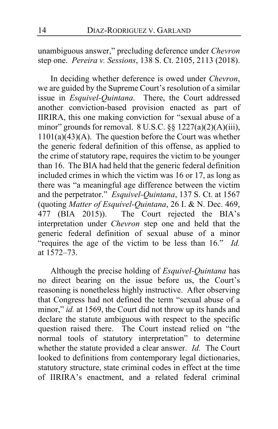<span id="page-13-0"></span>unambiguous answer," precluding deference under *Chevron* step one. *Pereira v. Sessions*, 138 S. Ct. 2105, 2113 (2018).

In deciding whether deference is owed under *Chevron*, we are guided by the Supreme Court's resolution of a similar issue in *Esquivel-Quintana*. There, the Court addressed another conviction-based provision enacted as part of IIRIRA, this one making conviction for "sexual abuse of a minor" grounds for removal.  $8 \text{ U.S.C.}$  §§  $1227(a)(2)(A)(iii)$ ,  $1101(a)(43)(A)$ . The question before the Court was whether the generic federal definition of this offense, as applied to the crime of statutory rape, requires the victim to be younger than 16. The BIA had held that the generic federal definition included crimes in which the victim was 16 or 17, as long as there was "a meaningful age difference between the victim and the perpetrator." *Esquivel-Quintana*, 137 S. Ct. at 1567 (quoting *Matter of Esquivel-Quintana*, 26 I. & N. Dec. 469,<br>477 (BIA 2015)). The Court rejected the BIA's  $\overline{P}$  The Court rejected the BIA's interpretation under *Chevron* step one and held that the generic federal definition of sexual abuse of a minor "requires the age of the victim to be less than 16." *Id.* at 1572–73.

<span id="page-13-3"></span><span id="page-13-2"></span><span id="page-13-1"></span>Although the precise holding of *Esquivel-Quintana* has no direct bearing on the issue before us, the Court's reasoning is nonetheless highly instructive. After observing that Congress had not defined the term "sexual abuse of a minor," *id.* at 1569, the Court did not throw up its hands and declare the statute ambiguous with respect to the specific question raised there. The Court instead relied on "the normal tools of statutory interpretation" to determine whether the statute provided a clear answer. *Id.* The Court looked to definitions from contemporary legal dictionaries, statutory structure, state criminal codes in effect at the time of IIRIRA's enactment, and a related federal criminal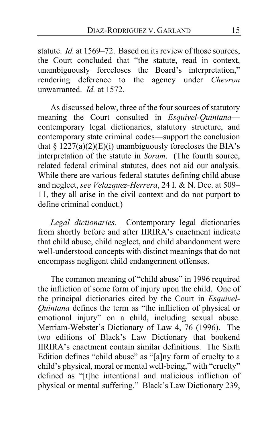statute. *Id.* at 1569–72. Based on its review of those sources, the Court concluded that "the statute, read in context, unambiguously forecloses the Board's interpretation," rendering deference to the agency under *Chevron* unwarranted. *Id.* at 1572.

<span id="page-14-0"></span>As discussed below, three of the four sources of statutory meaning the Court consulted in *Esquivel-Quintana* contemporary legal dictionaries, statutory structure, and contemporary state criminal codes—support the conclusion that  $\S 1227(a)(2)(E)(i)$  unambiguously forecloses the BIA's interpretation of the statute in *Soram*. (The fourth source, related federal criminal statutes, does not aid our analysis. While there are various federal statutes defining child abuse and neglect, *see Velazquez-Herrera*, 24 I. & N. Dec. at 509– 11, they all arise in the civil context and do not purport to define criminal conduct.)

<span id="page-14-1"></span>*Legal dictionaries*. Contemporary legal dictionaries from shortly before and after IIRIRA's enactment indicate that child abuse, child neglect, and child abandonment were well-understood concepts with distinct meanings that do not encompass negligent child endangerment offenses.

The common meaning of "child abuse" in 1996 required the infliction of some form of injury upon the child. One of the principal dictionaries cited by the Court in *Esquivel-Quintana* defines the term as "the infliction of physical or emotional injury" on a child, including sexual abuse. Merriam-Webster's Dictionary of Law 4, 76 (1996). The two editions of Black's Law Dictionary that bookend IIRIRA's enactment contain similar definitions. The Sixth Edition defines "child abuse" as "[a]ny form of cruelty to a child's physical, moral or mental well-being," with "cruelty" defined as "[t]he intentional and malicious infliction of physical or mental suffering." Black's Law Dictionary 239,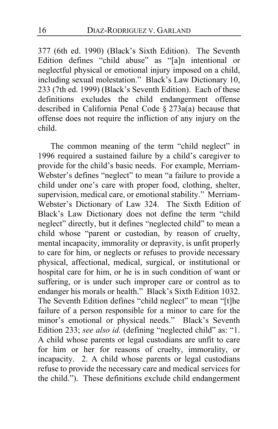377 (6th ed. 1990) (Black's Sixth Edition). The Seventh Edition defines "child abuse" as "[a]n intentional or neglectful physical or emotional injury imposed on a child, including sexual molestation." Black's Law Dictionary 10, 233 (7th ed. 1999) (Black's Seventh Edition). Each of these definitions excludes the child endangerment offense described in California Penal Code  $\S 273a(a)$  because that offense does not require the infliction of any injury on the child.

<span id="page-15-1"></span><span id="page-15-0"></span>The common meaning of the term "child neglect" in 1996 required a sustained failure by a child's caregiver to provide for the child's basic needs. For example, Merriam-Webster's defines "neglect" to mean "a failure to provide a child under one's care with proper food, clothing, shelter, supervision, medical care, or emotional stability." Merriam-Webster's Dictionary of Law 324. The Sixth Edition of Black's Law Dictionary does not define the term "child neglect" directly, but it defines "neglected child" to mean a child whose "parent or custodian, by reason of cruelty, mental incapacity, immorality or depravity, is unfit properly to care for him, or neglects or refuses to provide necessary physical, affectional, medical, surgical, or institutional or hospital care for him, or he is in such condition of want or suffering, or is under such improper care or control as to endanger his morals or health." Black's Sixth Edition 1032. The Seventh Edition defines "child neglect" to mean "[t]he failure of a person responsible for a minor to care for the minor's emotional or physical needs." Black's Seventh Edition 233; *see also id.* (defining "neglected child" as: "1. A child whose parents or legal custodians are unfit to care for him or her for reasons of cruelty, immorality, or incapacity. 2. A child whose parents or legal custodians refuse to provide the necessary care and medical services for the child."). These definitions exclude child endangerment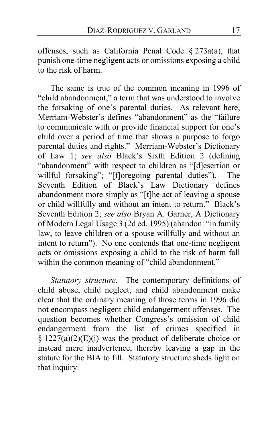<span id="page-16-1"></span>offenses, such as California Penal Code § 273a(a), that punish one-time negligent acts or omissions exposing a child to the risk of harm.

The same is true of the common meaning in 1996 of "child abandonment," a term that was understood to involve the forsaking of one's parental duties. As relevant here, Merriam-Webster's defines "abandonment" as the "failure to communicate with or provide financial support for one's child over a period of time that shows a purpose to forgo parental duties and rights." Merriam-Webster's Dictionary of Law 1; *see also* Black's Sixth Edition 2 (defining "abandonment" with respect to children as "[d]esertion or willful forsaking"; "[f]oregoing parental duties"). The Seventh Edition of Black's Law Dictionary defines abandonment more simply as "[t]he act of leaving a spouse or child willfully and without an intent to return." Black's Seventh Edition 2; *see also* Bryan A. Garner, A Dictionary of Modern Legal Usage 3 (2d ed. 1995) (abandon: "in family law, to leave children or a spouse willfully and without an intent to return"). No one contends that one-time negligent acts or omissions exposing a child to the risk of harm fall within the common meaning of "child abandonment."

<span id="page-16-2"></span><span id="page-16-0"></span>*Statutory structure*. The contemporary definitions of child abuse, child neglect, and child abandonment make clear that the ordinary meaning of those terms in 1996 did not encompass negligent child endangerment offenses. The question becomes whether Congress's omission of child endangerment from the list of crimes specified in  $§$  1227(a)(2)(E)(i) was the product of deliberate choice or instead mere inadvertence, thereby leaving a gap in the statute for the BIA to fill. Statutory structure sheds light on that inquiry.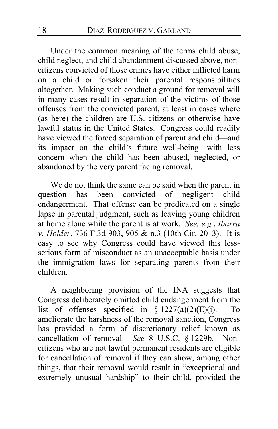Under the common meaning of the terms child abuse, child neglect, and child abandonment discussed above, noncitizens convicted of those crimes have either inflicted harm on a child or forsaken their parental responsibilities altogether. Making such conduct a ground for removal will in many cases result in separation of the victims of those offenses from the convicted parent, at least in cases where (as here) the children are U.S. citizens or otherwise have lawful status in the United States. Congress could readily have viewed the forced separation of parent and child—and its impact on the child's future well-being—with less concern when the child has been abused, neglected, or abandoned by the very parent facing removal.

<span id="page-17-0"></span>We do not think the same can be said when the parent in question has been convicted of negligent child endangerment. That offense can be predicated on a single lapse in parental judgment, such as leaving young children at home alone while the parent is at work. *See, e.g.*, *Ibarra v. Holder*, 736 F.3d 903, 905 & n.3 (10th Cir. 2013). It is easy to see why Congress could have viewed this lessserious form of misconduct as an unacceptable basis under the immigration laws for separating parents from their children.

<span id="page-17-1"></span>A neighboring provision of the INA suggests that Congress deliberately omitted child endangerment from the list of offenses specified in  $\S 1227(a)(2)(E)(i)$ . To ameliorate the harshness of the removal sanction, Congress has provided a form of discretionary relief known as cancellation of removal. *See* 8 U.S.C. § 1229b. Noncitizens who are not lawful permanent residents are eligible for cancellation of removal if they can show, among other things, that their removal would result in "exceptional and extremely unusual hardship" to their child, provided the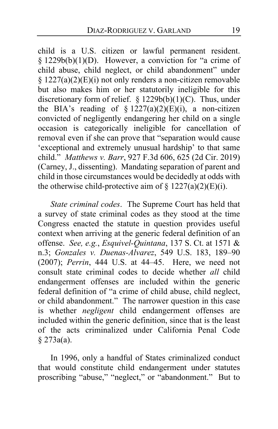child is a U.S. citizen or lawful permanent resident.  $§ 1229b(b)(1)(D)$ . However, a conviction for "a crime of child abuse, child neglect, or child abandonment" under § 1227(a)(2)(E)(i) not only renders a non-citizen removable but also makes him or her statutorily ineligible for this discretionary form of relief. § 1229b(b)(1)(C). Thus, under the BIA's reading of §  $1227(a)(2)(E)(i)$ , a non-citizen convicted of negligently endangering her child on a single occasion is categorically ineligible for cancellation of removal even if she can prove that "separation would cause 'exceptional and extremely unusual hardship' to that same child." *Matthews v. Barr*, 927 F.3d 606, 625 (2d Cir. 2019) (Carney, J., dissenting). Mandating separation of parent and child in those circumstances would be decidedly at odds with the otherwise child-protective aim of  $\S 1227(a)(2)(E)(i)$ .

*State criminal codes*. The Supreme Court has held that a survey of state criminal codes as they stood at the time Congress enacted the statute in question provides useful context when arriving at the generic federal definition of an offense. *See, e.g.*, *Esquivel-Quintana*, 137 S. Ct. at 1571 & n.3; *Gonzales v. Duenas-Alvarez*, 549 U.S. 183, 189–90 (2007); *Perrin*, 444 U.S. at 44–45. Here, we need not consult state criminal codes to decide whether *all* child endangerment offenses are included within the generic federal definition of "a crime of child abuse, child neglect, or child abandonment." The narrower question in this case is whether *negligent* child endangerment offenses are included within the generic definition, since that is the least of the acts criminalized under California Penal Code § 273a(a).

<span id="page-18-0"></span>In 1996, only a handful of States criminalized conduct that would constitute child endangerment under statutes proscribing "abuse," "neglect," or "abandonment." But to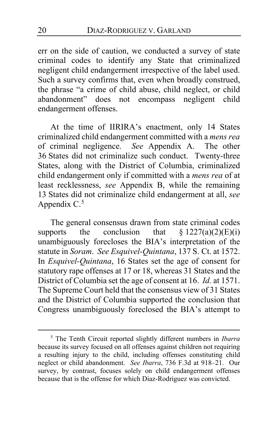err on the side of caution, we conducted a survey of state criminal codes to identify any State that criminalized negligent child endangerment irrespective of the label used. Such a survey confirms that, even when broadly construed, the phrase "a crime of child abuse, child neglect, or child abandonment" does not encompass negligent child endangerment offenses.

<span id="page-19-1"></span>At the time of IIRIRA's enactment, only 14 States criminalized child endangerment committed with a *mens rea* of criminal negligence. *See* Appendix A. The other 36 States did not criminalize such conduct. Twenty-three States, along with the District of Columbia, criminalized child endangerment only if committed with a *mens rea* of at least recklessness, *see* Appendix B, while the remaining 13 States did not criminalize child endangerment at all, *see* Appendix C.<sup>[5](#page-19-0)</sup>

<span id="page-19-2"></span>The general consensus drawn from state criminal codes supports the conclusion that  $\S 1227(a)(2)(E)(i)$ unambiguously forecloses the BIA's interpretation of the statute in *Soram*. *See Esquivel-Quintana*, 137 S. Ct. at 1572. In *Esquivel-Quintana*, 16 States set the age of consent for statutory rape offenses at 17 or 18, whereas 31 States and the District of Columbia set the age of consent at 16. *Id.* at 1571. The Supreme Court held that the consensus view of 31 States and the District of Columbia supported the conclusion that Congress unambiguously foreclosed the BIA's attempt to

<span id="page-19-3"></span><span id="page-19-0"></span><sup>5</sup> The Tenth Circuit reported slightly different numbers in *Ibarra* because its survey focused on all offenses against children not requiring a resulting injury to the child, including offenses constituting child neglect or child abandonment. *See Ibarra*, 736 F.3d at 918–21. Our survey, by contrast, focuses solely on child endangerment offenses because that is the offense for which Diaz-Rodriguez was convicted.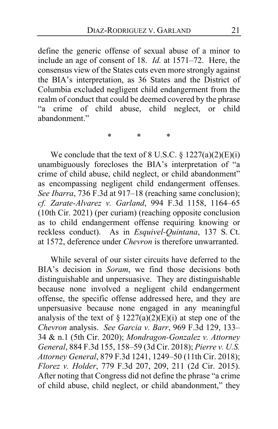define the generic offense of sexual abuse of a minor to include an age of consent of 18. *Id.* at 1571–72. Here, the consensus view of the States cuts even more strongly against the BIA's interpretation, as 36 States and the District of Columbia excluded negligent child endangerment from the realm of conduct that could be deemed covered by the phrase "a crime of child abuse, child neglect, or child abandonment."

<span id="page-20-2"></span><span id="page-20-1"></span>\* \* \*

We conclude that the text of 8 U.S.C.  $\S 1227(a)(2)(E)(i)$ unambiguously forecloses the BIA's interpretation of "a crime of child abuse, child neglect, or child abandonment" as encompassing negligent child endangerment offenses. *See Ibarra*, 736 F.3d at 917–18 (reaching same conclusion); *cf. Zarate-Alvarez v. Garland*, 994 F.3d 1158, 1164–65 (10th Cir. 2021) (per curiam) (reaching opposite conclusion as to child endangerment offense requiring knowing or reckless conduct). As in *Esquivel-Quintana*, 137 S. Ct. at 1572, deference under *Chevron* is therefore unwarranted.

<span id="page-20-0"></span>While several of our sister circuits have deferred to the BIA's decision in *Soram*, we find those decisions both distinguishable and unpersuasive. They are distinguishable because none involved a negligent child endangerment offense, the specific offense addressed here, and they are unpersuasive because none engaged in any meaningful analysis of the text of  $\S 1227(a)(2)(E)(i)$  at step one of the *Chevron* analysis. *See Garcia v. Barr*, 969 F.3d 129, 133– 34 & n.1 (5th Cir. 2020); *Mondragon-Gonzalez v. Attorney General*, 884 F.3d 155, 158–59 (3d Cir. 2018); *Pierre v. U.S. Attorney General*, 879 F.3d 1241, 1249–50 (11th Cir. 2018); *Florez v. Holder*, 779 F.3d 207, 209, 211 (2d Cir. 2015). After noting that Congress did not define the phrase "a crime of child abuse, child neglect, or child abandonment," they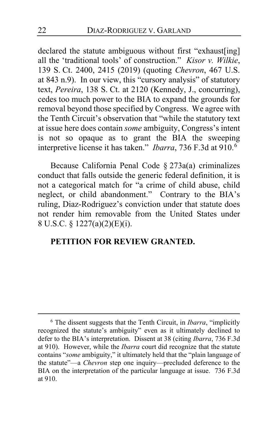declared the statute ambiguous without first "exhaust[ing] all the 'traditional tools' of construction." *Kisor v. Wilkie*, 139 S. Ct. 2400, 2415 (2019) (quoting *Chevron*, 467 U.S. at 843 n.9). In our view, this "cursory analysis" of statutory text, *Pereira*, 138 S. Ct. at 2120 (Kennedy, J., concurring), cedes too much power to the BIA to expand the grounds for removal beyond those specified by Congress. We agree with the Tenth Circuit's observation that "while the statutory text at issue here does contain *some* ambiguity, Congress's intent is not so opaque as to grant the BIA the sweeping interpretive license it has taken." *Ibarra*, 736 F.3d at 910.[6](#page-21-0)

Because California Penal Code § 273a(a) criminalizes conduct that falls outside the generic federal definition, it is not a categorical match for "a crime of child abuse, child neglect, or child abandonment." Contrary to the BIA's ruling, Diaz-Rodriguez's conviction under that statute does not render him removable from the United States under 8 U.S.C. § 1227(a)(2)(E)(i).

## **PETITION FOR REVIEW GRANTED.**

<span id="page-21-0"></span><sup>6</sup> The dissent suggests that the Tenth Circuit, in *Ibarra*, "implicitly recognized the statute's ambiguity" even as it ultimately declined to defer to the BIA's interpretation. Dissent at [38](#page-37-0) (citing *Ibarra*, 736 F.3d at 910). However, while the *Ibarra* court did recognize that the statute contains "*some* ambiguity," it ultimately held that the "plain language of the statute"—a *Chevron* step one inquiry—precluded deference to the BIA on the interpretation of the particular language at issue. 736 F.3d at 910.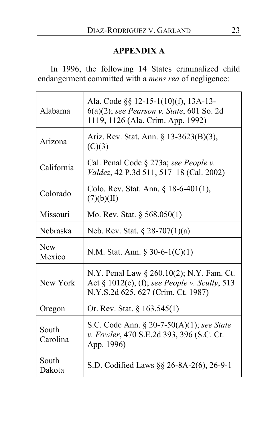## **APPENDIX A**

In 1996, the following 14 States criminalized child endangerment committed with a *mens rea* of negligence:

| Alabama              | Ala. Code §§ 12-15-1(10)(f), 13A-13-<br>$6(a)(2)$ ; see Pearson v. State, 601 So. 2d<br>1119, 1126 (Ala. Crim. App. 1992)           |
|----------------------|-------------------------------------------------------------------------------------------------------------------------------------|
| Arizona              | Ariz. Rev. Stat. Ann. § 13-3623(B)(3),<br>(C)(3)                                                                                    |
| California           | Cal. Penal Code § 273a; see People v.<br>Valdez, 42 P.3d 511, 517–18 (Cal. 2002)                                                    |
| Colorado             | Colo. Rev. Stat. Ann. $\S 18-6-401(1)$ ,<br>(7)(b)(II)                                                                              |
| Missouri             | Mo. Rev. Stat. $\S 568.050(1)$                                                                                                      |
| Nebraska             | Neb. Rev. Stat. $\S 28-707(1)(a)$                                                                                                   |
| <b>New</b><br>Mexico | N.M. Stat. Ann. $\S 30-6-1(C)(1)$                                                                                                   |
| New York             | N.Y. Penal Law § 260.10(2); N.Y. Fam. Ct.<br>Act $\S$ 1012(e), (f); see People v. Scully, 513<br>N.Y.S.2d 625, 627 (Crim. Ct. 1987) |
| Oregon               | Or. Rev. Stat. $\S 163.545(1)$                                                                                                      |
| South<br>Carolina    | S.C. Code Ann. § 20-7-50(A)(1); see State<br>v. Fowler, 470 S.E.2d 393, 396 (S.C. Ct.<br>App. 1996)                                 |
| South<br>Dakota      | S.D. Codified Laws §§ 26-8A-2(6), 26-9-1                                                                                            |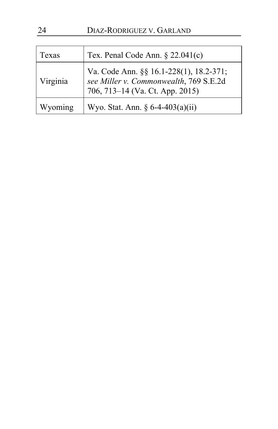| Texas    | Tex. Penal Code Ann. $\S$ 22.041(c)                                                                                  |
|----------|----------------------------------------------------------------------------------------------------------------------|
| Virginia | Va. Code Ann. §§ 16.1-228(1), 18.2-371;<br>see Miller v. Commonwealth, 769 S.E.2d<br>706, 713–14 (Va. Ct. App. 2015) |
| Wyoming  | Wyo. Stat. Ann. $\S 6-4-403(a)(ii)$                                                                                  |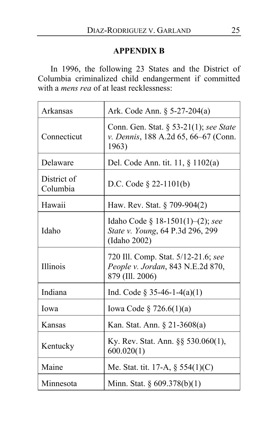## **APPENDIX B**

In 1996, the following 23 States and the District of Columbia criminalized child endangerment if committed with a *mens rea* of at least recklessness:

| Arkansas                | Ark. Code Ann. § 5-27-204(a)                                                                |
|-------------------------|---------------------------------------------------------------------------------------------|
| Connecticut             | Conn. Gen. Stat. § 53-21(1); see State<br>v. Dennis, 188 A.2d 65, 66–67 (Conn.<br>1963)     |
| Delaware                | Del. Code Ann. tit. $11, \S 1102(a)$                                                        |
| District of<br>Columbia | D.C. Code $\S$ 22-1101(b)                                                                   |
| Hawaii                  | Haw. Rev. Stat. $\S$ 709-904(2)                                                             |
| Idaho                   | Idaho Code § 18-1501(1)–(2); see<br>State v. Young, 64 P.3d 296, 299<br>(Idaho 2002)        |
| Illinois                | 720 Ill. Comp. Stat. 5/12-21.6; see<br>People v. Jordan, 843 N.E.2d 870,<br>879 (Ill. 2006) |
| Indiana                 | Ind. Code $\S 35-46-1-4(a)(1)$                                                              |
| Iowa                    | Iowa Code $\S 726.6(1)(a)$                                                                  |
| Kansas                  | Kan. Stat. Ann. § 21-3608(a)                                                                |
| Kentucky                | Ky. Rev. Stat. Ann. §§ 530.060(1),<br>600.020(1)                                            |
| Maine                   | Me. Stat. tit. 17-A, $\S$ 554(1)(C)                                                         |
| Minnesota               | Minn. Stat. § 609.378(b)(1)                                                                 |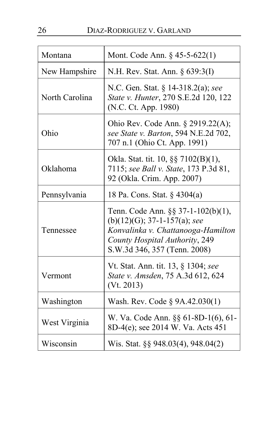| Montana        | Mont. Code Ann. $\S$ 45-5-622(1)                                                                                                                                             |
|----------------|------------------------------------------------------------------------------------------------------------------------------------------------------------------------------|
| New Hampshire  | N.H. Rev. Stat. Ann. § 639:3(I)                                                                                                                                              |
| North Carolina | N.C. Gen. Stat. § 14-318.2(a); see<br>State v. Hunter, 270 S.E.2d 120, 122<br>(N.C. Ct. App. 1980)                                                                           |
| Ohio           | Ohio Rev. Code Ann. § 2919.22(A);<br>see State v. Barton, 594 N.E.2d 702,<br>707 n.1 (Ohio Ct. App. 1991)                                                                    |
| Oklahoma       | Okla. Stat. tit. 10, §§ 7102(B)(1),<br>7115; see Ball v. State, 173 P.3d 81,<br>92 (Okla. Crim. App. 2007)                                                                   |
| Pennsylvania   | 18 Pa. Cons. Stat. § 4304(a)                                                                                                                                                 |
| Tennessee      | Tenn. Code Ann. §§ 37-1-102(b)(1),<br>$(b)(12)(G); 37-1-157(a); see$<br>Konvalinka v. Chattanooga-Hamilton<br>County Hospital Authority, 249<br>S.W.3d 346, 357 (Tenn. 2008) |
| Vermont        | Vt. Stat. Ann. tit. 13, § 1304; see<br>State v. Amsden, 75 A.3d 612, 624<br>(Vt. 2013)                                                                                       |
| Washington     | Wash. Rev. Code § 9A.42.030(1)                                                                                                                                               |
| West Virginia  | W. Va. Code Ann. §§ 61-8D-1(6), 61-<br>8D-4(e); see 2014 W. Va. Acts 451                                                                                                     |
| Wisconsin      | Wis. Stat. §§ 948.03(4), 948.04(2)                                                                                                                                           |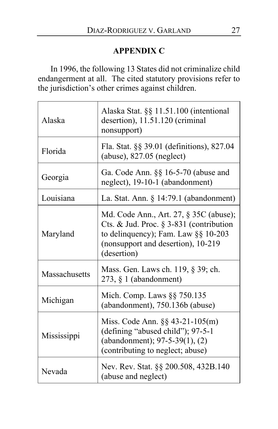## **APPENDIX C**

In 1996, the following 13 States did not criminalize child endangerment at all. The cited statutory provisions refer to the jurisdiction's other crimes against children.

| Alaska               | Alaska Stat. §§ 11.51.100 (intentional<br>desertion), 11.51.120 (criminal<br>nonsupport)                                                                                          |
|----------------------|-----------------------------------------------------------------------------------------------------------------------------------------------------------------------------------|
| Florida              | Fla. Stat. §§ 39.01 (definitions), 827.04<br>(abuse), 827.05 (neglect)                                                                                                            |
| Georgia              | Ga. Code Ann. §§ 16-5-70 (abuse and<br>neglect), 19-10-1 (abandonment)                                                                                                            |
| Louisiana            | La. Stat. Ann. $\S$ 14:79.1 (abandonment)                                                                                                                                         |
| Maryland             | Md. Code Ann., Art. 27, § 35C (abuse);<br>Cts. & Jud. Proc. § 3-831 (contribution<br>to delinquency); Fam. Law $\S\S 10-203$<br>(nonsupport and desertion), 10-219<br>(desertion) |
| <b>Massachusetts</b> | Mass. Gen. Laws ch. 119, § 39; ch.<br>$273, § 1$ (abandonment)                                                                                                                    |
| Michigan             | Mich. Comp. Laws §§ 750.135<br>(abandonment), 750.136b (abuse)                                                                                                                    |
| Mississippi          | Miss. Code Ann. $\S$ § 43-21-105(m)<br>(defining "abused child"); 97-5-1<br>(abandonment); 97-5-39(1), (2)<br>(contributing to neglect; abuse)                                    |
| Nevada               | Nev. Rev. Stat. §§ 200.508, 432B.140<br>(abuse and neglect)                                                                                                                       |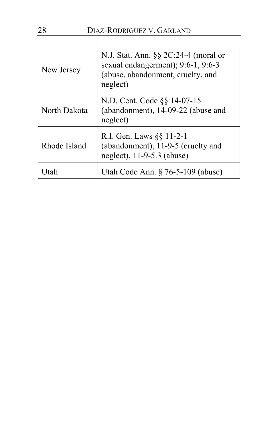| New Jersey   | N.J. Stat. Ann. $\S\S 2C:24-4$ (moral or<br>sexual endangerment); 9:6-1, 9:6-3<br>(abuse, abandonment, cruelty, and<br>neglect) |
|--------------|---------------------------------------------------------------------------------------------------------------------------------|
| North Dakota | N.D. Cent. Code §§ 14-07-15<br>(abandonment), 14-09-22 (abuse and<br>neglect)                                                   |
| Rhode Island | R.I. Gen. Laws §§ 11-2-1<br>(abandonment), 11-9-5 (cruelty and<br>neglect), 11-9-5.3 (abuse)                                    |
| tah          | Utah Code Ann. $\S$ 76-5-109 (abuse)                                                                                            |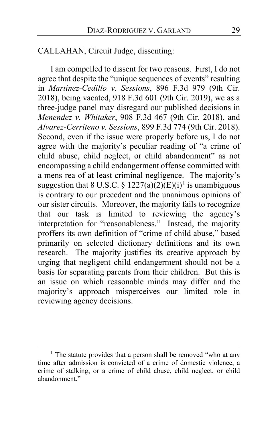CALLAHAN, Circuit Judge, dissenting:

I am compelled to dissent for two reasons. First, I do not agree that despite the "unique sequences of events" resulting in *Martinez-Cedillo v. Sessions*, 896 F.3d 979 (9th Cir. 2018), being vacated, 918 F.3d 601 (9th Cir. 2019), we as a three-judge panel may disregard our published decisions in *Menendez v. Whitaker*, 908 F.3d 467 (9th Cir. 2018), and *Alvarez-Cerriteno v. Sessions*, 899 F.3d 774 (9th Cir. 2018). Second, even if the issue were properly before us, I do not agree with the majority's peculiar reading of "a crime of child abuse, child neglect, or child abandonment" as not encompassing a child endangerment offense committed with a mens rea of at least criminal negligence. The majority's suggestion that 8 U.S.C. §  $1227(a)(2)(E)(i)^{1}$  $1227(a)(2)(E)(i)^{1}$  is unambiguous is contrary to our precedent and the unanimous opinions of our sister circuits. Moreover, the majority fails to recognize that our task is limited to reviewing the agency's interpretation for "reasonableness." Instead, the majority proffers its own definition of "crime of child abuse," based primarily on selected dictionary definitions and its own research. The majority justifies its creative approach by urging that negligent child endangerment should not be a basis for separating parents from their children. But this is an issue on which reasonable minds may differ and the majority's approach misperceives our limited role in reviewing agency decisions.

<span id="page-28-0"></span><sup>&</sup>lt;sup>1</sup> The statute provides that a person shall be removed "who at any time after admission is convicted of a crime of domestic violence, a crime of stalking, or a crime of child abuse, child neglect, or child abandonment."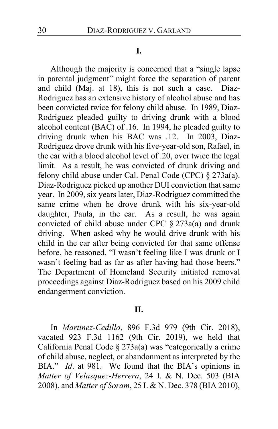#### **I.**

Although the majority is concerned that a "single lapse in parental judgment" might force the separation of parent and child (Maj. at [18\)](#page-17-0), this is not such a case. Diaz-Rodriguez has an extensive history of alcohol abuse and has been convicted twice for felony child abuse. In 1989, Diaz-Rodriguez pleaded guilty to driving drunk with a blood alcohol content (BAC) of .16. In 1994, he pleaded guilty to driving drunk when his BAC was .12. In 2003, Diaz-Rodriguez drove drunk with his five-year-old son, Rafael, in the car with a blood alcohol level of .20, over twice the legal limit. As a result, he was convicted of drunk driving and felony child abuse under Cal. Penal Code (CPC) § 273a(a). Diaz-Rodriguez picked up another DUI conviction that same year. In 2009, six years later, Diaz-Rodriguez committed the same crime when he drove drunk with his six-year-old daughter, Paula, in the car. As a result, he was again convicted of child abuse under CPC § 273a(a) and drunk driving. When asked why he would drive drunk with his child in the car after being convicted for that same offense before, he reasoned, "I wasn't feeling like I was drunk or I wasn't feeling bad as far as after having had those beers." The Department of Homeland Security initiated removal proceedings against Diaz-Rodriguez based on his 2009 child endangerment conviction.

## **II.**

In *Martinez-Cedillo*, 896 F.3d 979 (9th Cir. 2018), vacated 923 F.3d 1162 (9th Cir. 2019), we held that California Penal Code § 273a(a) was "categorically a crime of child abuse, neglect, or abandonment as interpreted by the BIA." *Id*. at 981. We found that the BIA's opinions in *Matter of Velasquez-Herrera*, 24 I. & N. Dec. 503 (BIA 2008), and *Matter of Soram*, 25 I. & N. Dec. 378 (BIA 2010),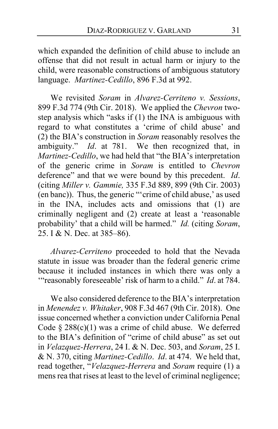which expanded the definition of child abuse to include an offense that did not result in actual harm or injury to the child, were reasonable constructions of ambiguous statutory language. *Martinez-Cedillo*, 896 F.3d at 992.

We revisited *Soram* in *Alvarez-Cerriteno v. Sessions*, 899 F.3d 774 (9th Cir. 2018). We applied the *Chevron* twostep analysis which "asks if (1) the INA is ambiguous with regard to what constitutes a 'crime of child abuse' and (2) the BIA's construction in *Soram* reasonably resolves the ambiguity." *Id*. at 781. We then recognized that, in *Martinez-Cedillo*, we had held that "the BIA's interpretation of the generic crime in *Soram* is entitled to *Chevron* deference" and that we were bound by this precedent. *Id*. (citing *Miller v. Gammie,* 335 F.3d 889, 899 (9th Cir. 2003) (en banc)). Thus, the generic "'crime of child abuse,' as used in the INA, includes acts and omissions that (1) are criminally negligent and (2) create at least a 'reasonable probability' that a child will be harmed." *Id.* (citing *Soram*, 25. I & N. Dec. at 385–86).

*Alvarez-Cerriteno* proceeded to hold that the Nevada statute in issue was broader than the federal generic crime because it included instances in which there was only a '"reasonably foreseeable' risk of harm to a child." *Id*. at 784.

We also considered deference to the BIA's interpretation in *Menendez v. Whitaker*, 908 F.3d 467 (9th Cir. 2018). One issue concerned whether a conviction under California Penal Code  $§$  288(c)(1) was a crime of child abuse. We deferred to the BIA's definition of "crime of child abuse" as set out in *Velazquez-Herrera*, 24 I. & N. Dec. 503, and *Soram*, 25 I. & N. 370, citing *Martinez-Cedillo*. *Id*. at 474. We held that, read together, "*Velazquez-Herrera* and *Soram* require (1) a mens rea that rises at least to the level of criminal negligence;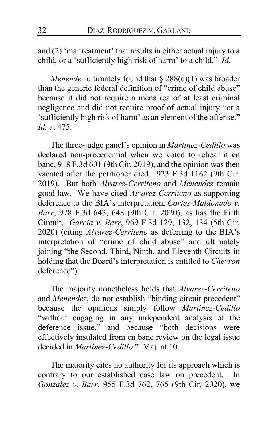and (2) 'maltreatment' that results in either actual injury to a child, or a 'sufficiently high risk of harm' to a child." *Id*.

*Menendez* ultimately found that § 288(c)(1) was broader than the generic federal definition of "crime of child abuse" because it did not require a mens rea of at least criminal negligence and did not require proof of actual injury "or a 'sufficiently high risk of harm' as an element of the offense." *Id.* at 475.

The three-judge panel's opinion in *Martinez-Cedillo* was declared non-precedential when we voted to rehear it en banc, 918 F.3d 601 (9th Cir. 2019), and the opinion was then vacated after the petitioner died. 923 F.3d 1162 (9th Cir. 2019). But both *Alvarez-Cerriteno* and *Menendez* remain good law. We have cited *Alvarez-Cerriteno* as supporting deference to the BIA's interpretation, *Cortes-Maldonado v. Barr*, 978 F.3d 643, 648 (9th Cir. 2020), as has the Fifth Circuit, *Garcia v. Barr*, 969 F.3d 129, 132, 134 (5th Cir. 2020) (citing *Alvarez-Cerriteno* as deferring to the BIA's interpretation of "crime of child abuse" and ultimately joining "the Second, Third, Ninth, and Eleventh Circuits in holding that the Board's interpretation is entitled to *Chevron* deference").

<span id="page-31-0"></span>The majority nonetheless holds that *Alvarez-Cerriteno* and *Menendez*, do not establish "binding circuit precedent" because the opinions simply follow *Martinez-Cedillo* "without engaging in any independent analysis of the deference issue," and because "both decisions were effectively insulated from en banc review on the legal issue decided in *Martinez-Cedillo*." Maj. at [10.](#page-9-0)

The majority cites no authority for its approach which is contrary to our established case law on precedent. In *Gonzalez v. Barr*, 955 F.3d 762, 765 (9th Cir. 2020), we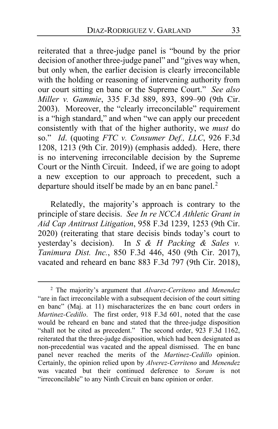<span id="page-32-0"></span>reiterated that a three-judge panel is "bound by the prior decision of another three-judge panel" and "gives way when, but only when, the earlier decision is clearly irreconcilable with the holding or reasoning of intervening authority from our court sitting en banc or the Supreme Court." *See also Miller v. Gammie*, 335 F.3d 889, 893, 899–90 (9th Cir. 2003). Moreover, the "clearly irreconcilable" requirement is a "high standard," and when "we can apply our precedent consistently with that of the higher authority, we *must* do so." *Id*. (quoting *FTC v. Consumer Def., LLC*, 926 F.3d 1208, 1213 (9th Cir. 2019)) (emphasis added). Here, there is no intervening irreconcilable decision by the Supreme Court or the Ninth Circuit. Indeed, if we are going to adopt a new exception to our approach to precedent, such a departure should itself be made by an en banc panel.<sup>[2](#page-32-1)</sup>

Relatedly, the majority's approach is contrary to the principle of stare decisis. *See In re NCCA Athletic Grant in Aid Cap Antitrust Litigation*, 958 F.3d 1239, 1253 (9th Cir. 2020) (reiterating that stare decisis binds today's court to yesterday's decision). In *S & H Packing & Sales v. Tanimura Dist. Inc.*, 850 F.3d 446, 450 (9th Cir. 2017), vacated and reheard en banc 883 F.3d 797 (9th Cir. 2018),

<span id="page-32-1"></span><sup>2</sup> The majority's argument that *Alvarez-Cerriteno* and *Menendez* "are in fact irreconcilable with a subsequent decision of the court sitting en banc" (Maj. at [11\)](#page-10-1) mischaracterizes the en banc court orders in *Martinez-Cedillo*. The first order, 918 F.3d 601, noted that the case would be reheard en banc and stated that the three-judge disposition "shall not be cited as precedent." The second order, 923 F.3d 1162, reiterated that the three-judge disposition, which had been designated as non-precedential was vacated and the appeal dismissed. The en banc panel never reached the merits of the *Martinez-Cedillo* opinion. Certainly, the opinion relied upon by *Alverez-Cerriteno* and *Menendez*  was vacated but their continued deference to *Soram* is not "irreconcilable" to any Ninth Circuit en banc opinion or order.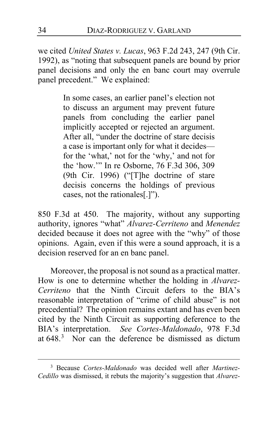we cited *United States v. Lucas*, 963 F.2d 243, 247 (9th Cir. 1992), as "noting that subsequent panels are bound by prior panel decisions and only the en banc court may overrule panel precedent." We explained:

> In some cases, an earlier panel's election not to discuss an argument may prevent future panels from concluding the earlier panel implicitly accepted or rejected an argument. After all, "under the doctrine of stare decisis a case is important only for what it decides for the 'what,' not for the 'why,' and not for the 'how.'" In re Osborne, 76 F.3d 306, 309 (9th Cir. 1996) ("[T]he doctrine of stare decisis concerns the holdings of previous cases, not the rationales[.]").

850 F.3d at 450. The majority, without any supporting authority, ignores "what" *Alvarez-Cerriteno* and *Menendez* decided because it does not agree with the "why" of those opinions. Again, even if this were a sound approach, it is a decision reserved for an en banc panel.

<span id="page-33-0"></span>Moreover, the proposal is not sound as a practical matter. How is one to determine whether the holding in *Alvarez-Cerriteno* that the Ninth Circuit defers to the BIA's reasonable interpretation of "crime of child abuse" is not precedential? The opinion remains extant and has even been cited by the Ninth Circuit as supporting deference to the BIA's interpretation. *See Cortes-Maldonado*, 978 F.3d at  $648$ <sup>[3](#page-33-1)</sup> Nor can the deference be dismissed as dictum

<span id="page-33-1"></span><sup>3</sup> Because *Cortes-Maldonado* was decided well after *Martinez-Cedillo* was dismissed, it rebuts the majority's suggestion that *Alvarez-*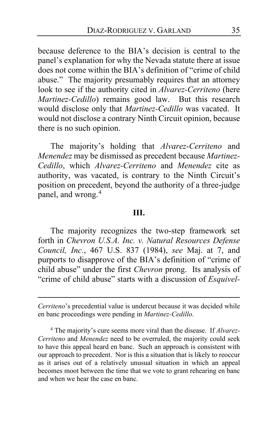because deference to the BIA's decision is central to the panel's explanation for why the Nevada statute there at issue does not come within the BIA's definition of "crime of child abuse." The majority presumably requires that an attorney look to see if the authority cited in *Alvarez-Cerriteno* (here *Martinez-Cedillo*) remains good law. But this research would disclose only that *Martinez-Cedillo* was vacated. It would not disclose a contrary Ninth Circuit opinion, because there is no such opinion.

<span id="page-34-0"></span>The majority's holding that *Alvarez-Cerriteno* and *Menendez* may be dismissed as precedent because *Martinez-Cedillo*, which *Alvarez-Cerriteno* and *Menendez* cite as authority, was vacated, is contrary to the Ninth Circuit's position on precedent, beyond the authority of a three-judge panel, and wrong.<sup>[4](#page-34-1)</sup>

#### **III.**

The majority recognizes the two-step framework set forth in *Chevron U.S.A. Inc. v. Natural Resources Defense Council, Inc.*, 467 U.S. 837 (1984), *see* Maj. at [7,](#page-6-0) and purports to disapprove of the BIA's definition of "crime of child abuse" under the first *Chevron* prong. Its analysis of "crime of child abuse" starts with a discussion of *Esquivel-*

*Cerriteno*'s precedential value is undercut because it was decided while en banc proceedings were pending in *Martinez-Cedillo*.

<span id="page-34-1"></span><sup>4</sup> The majority's cure seems more viral than the disease. If *Alvarez-Cerriteno* and *Menendez* need to be overruled, the majority could seek to have this appeal heard en banc. Such an approach is consistent with our approach to precedent. Nor is this a situation that is likely to reoccur as it arises out of a relatively unusual situation in which an appeal becomes moot between the time that we vote to grant rehearing en banc and when we hear the case en banc.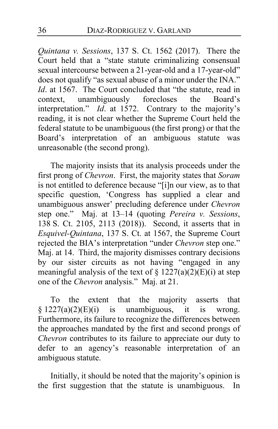*Quintana v. Sessions*, 137 S. Ct. 1562 (2017). There the Court held that a "state statute criminalizing consensual sexual intercourse between a 21-year-old and a 17-year-old" does not qualify "as sexual abuse of a minor under the INA." *Id.* at 1567. The Court concluded that "the statute, read in context, unambiguously forecloses the Board's interpretation." *Id*. at 1572. Contrary to the majority's reading, it is not clear whether the Supreme Court held the federal statute to be unambiguous (the first prong) or that the Board's interpretation of an ambiguous statute was unreasonable (the second prong).

The majority insists that its analysis proceeds under the first prong of *Chevron*. First, the majority states that *Soram* is not entitled to deference because "[i]n our view, as to that specific question, 'Congress has supplied a clear and unambiguous answer' precluding deference under *Chevron* step one." Maj. at [13–](#page-12-0)[14](#page-13-0) (quoting *Pereira v. Sessions*, 138 S. Ct. 2105, 2113 (2018)). Second, it asserts that in *Esquivel-Quintana*, 137 S. Ct. at 1567, the Supreme Court rejected the BIA's interpretation "under *Chevron* step one." Maj. at [14.](#page-13-1) Third, the majority dismisses contrary decisions by our sister circuits as not having "engaged in any meaningful analysis of the text of  $\S 1227(a)(2)(E)(i)$  at step one of the *Chevron* analysis." Maj. at [21.](#page-20-0)

To the extent that the majority asserts that  $§ 1227(a)(2)(E)(i)$  is unambiguous, it is wrong. Furthermore, its failure to recognize the differences between the approaches mandated by the first and second prongs of *Chevron* contributes to its failure to appreciate our duty to defer to an agency's reasonable interpretation of an ambiguous statute.

Initially, it should be noted that the majority's opinion is the first suggestion that the statute is unambiguous. In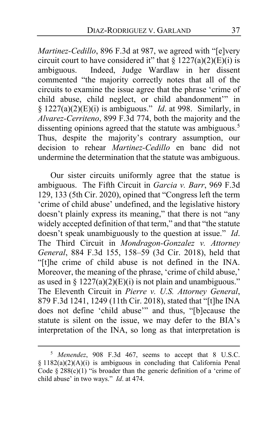*Martinez-Cedillo*, 896 F.3d at 987, we agreed with "[e]very circuit court to have considered it" that  $\S 1227(a)(2)(E)(i)$  is ambiguous. Indeed, Judge Wardlaw in her dissent commented "the majority correctly notes that all of the circuits to examine the issue agree that the phrase 'crime of child abuse, child neglect, or child abandonment'" in § 1227(a)(2)(E)(i) is ambiguous." *Id*. at 998. Similarly, in *Alvarez-Cerriteno*, 899 F.3d 774, both the majority and the dissenting opinions agreed that the statute was ambiguous.<sup>[5](#page-36-0)</sup> Thus, despite the majority's contrary assumption, our decision to rehear *Martinez-Cedillo* en banc did not undermine the determination that the statute was ambiguous.

Our sister circuits uniformly agree that the statue is ambiguous. The Fifth Circuit in *Garcia v. Barr*, 969 F.3d 129, 133 (5th Cir. 2020), opined that "Congress left the term 'crime of child abuse' undefined, and the legislative history doesn't plainly express its meaning," that there is not "any widely accepted definition of that term," and that "the statute doesn't speak unambiguously to the question at issue." *Id*. The Third Circuit in *Mondragon-Gonzalez v. Attorney General*, 884 F.3d 155, 158–59 (3d Cir. 2018), held that "[t]he crime of child abuse is not defined in the INA. Moreover, the meaning of the phrase, 'crime of child abuse,' as used in §  $1227(a)(2)(E)(i)$  is not plain and unambiguous." The Eleventh Circuit in *Pierre v. U.S. Attorney General*, 879 F.3d 1241, 1249 (11th Cir. 2018), stated that "[t]he INA does not define 'child abuse'" and thus, "[b]ecause the statute is silent on the issue, we may defer to the BIA's interpretation of the INA, so long as that interpretation is

<span id="page-36-0"></span><sup>5</sup> *Menendez*, 908 F.3d 467, seems to accept that 8 U.S.C.  $§ 1182(a)(2)(A)(i)$  is ambiguous in concluding that California Penal Code  $\S 288(c)(1)$  "is broader than the generic definition of a 'crime of child abuse' in two ways." *Id*. at 474.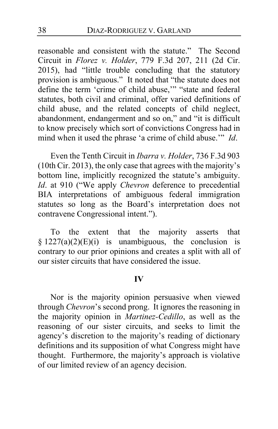reasonable and consistent with the statute." The Second Circuit in *Florez v. Holder*, 779 F.3d 207, 211 (2d Cir. 2015), had "little trouble concluding that the statutory provision is ambiguous." It noted that "the statute does not define the term 'crime of child abuse,'" "state and federal statutes, both civil and criminal, offer varied definitions of child abuse, and the related concepts of child neglect, abandonment, endangerment and so on," and "it is difficult to know precisely which sort of convictions Congress had in mind when it used the phrase 'a crime of child abuse.'" *Id*.

<span id="page-37-0"></span>Even the Tenth Circuit in *Ibarra v. Holder*, 736 F.3d 903 (10th Cir. 2013), the only case that agrees with the majority's bottom line, implicitly recognized the statute's ambiguity. *Id*. at 910 ("We apply *Chevron* deference to precedential BIA interpretations of ambiguous federal immigration statutes so long as the Board's interpretation does not contravene Congressional intent.").

To the extent that the majority asserts that  $§ 1227(a)(2)(E)(i)$  is unambiguous, the conclusion is contrary to our prior opinions and creates a split with all of our sister circuits that have considered the issue.

#### **IV**

Nor is the majority opinion persuasive when viewed through *Chevron*'s second prong. It ignores the reasoning in the majority opinion in *Martinez-Cedillo*, as well as the reasoning of our sister circuits, and seeks to limit the agency's discretion to the majority's reading of dictionary definitions and its supposition of what Congress might have thought. Furthermore, the majority's approach is violative of our limited review of an agency decision.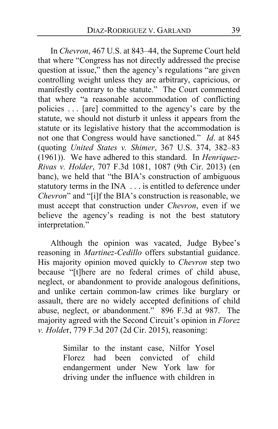In *Chevron*, 467 U.S. at 843–44, the Supreme Court held that where "Congress has not directly addressed the precise question at issue," then the agency's regulations "are given controlling weight unless they are arbitrary, capricious, or manifestly contrary to the statute." The Court commented that where "a reasonable accommodation of conflicting policies . . . [are] committed to the agency's care by the statute, we should not disturb it unless it appears from the statute or its legislative history that the accommodation is not one that Congress would have sanctioned." *Id*. at 845 (quoting *United States v. Shimer*, 367 U.S. 374, 382–83 (1961)). We have adhered to this standard. In *Henriquez-Rivas v. Holder*, 707 F.3d 1081, 1087 (9th Cir. 2013) (en banc), we held that "the BIA's construction of ambiguous statutory terms in the INA . . . is entitled to deference under *Chevron*" and "[i]f the BIA's construction is reasonable, we must accept that construction under *Chevron*, even if we believe the agency's reading is not the best statutory interpretation."

Although the opinion was vacated, Judge Bybee's reasoning in *Martinez-Cedillo* offers substantial guidance. His majority opinion moved quickly to *Chevron* step two because "[t]here are no federal crimes of child abuse, neglect, or abandonment to provide analogous definitions, and unlike certain common-law crimes like burglary or assault, there are no widely accepted definitions of child abuse, neglect, or abandonment." 896 F.3d at 987. The majority agreed with the Second Circuit's opinion in *Florez v. Holde*r, 779 F.3d 207 (2d Cir. 2015), reasoning:

> Similar to the instant case, Nilfor Yosel Florez had been convicted of child endangerment under New York law for driving under the influence with children in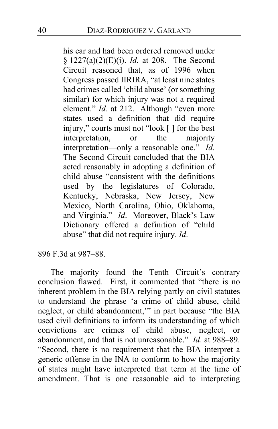his car and had been ordered removed under § 1227(a)(2)(E)(i). *Id.* at 208. The Second Circuit reasoned that, as of 1996 when Congress passed IIRIRA, "at least nine states had crimes called 'child abuse' (or something similar) for which injury was not a required element." *Id.* at 212. Although "even more states used a definition that did require injury," courts must not "look [ ] for the best interpretation, or the majority interpretation—only a reasonable one." *Id*. The Second Circuit concluded that the BIA acted reasonably in adopting a definition of child abuse "consistent with the definitions used by the legislatures of Colorado, Kentucky, Nebraska, New Jersey, New Mexico, North Carolina, Ohio, Oklahoma, and Virginia." *Id*. Moreover, Black's Law Dictionary offered a definition of "child abuse" that did not require injury. *Id*.

896 F.3d at 987–88.

The majority found the Tenth Circuit's contrary conclusion flawed. First, it commented that "there is no inherent problem in the BIA relying partly on civil statutes to understand the phrase 'a crime of child abuse, child neglect, or child abandonment,'" in part because "the BIA used civil definitions to inform its understanding of which convictions are crimes of child abuse, neglect, or abandonment, and that is not unreasonable." *Id*. at 988–89. "Second, there is no requirement that the BIA interpret a generic offense in the INA to conform to how the majority of states might have interpreted that term at the time of amendment. That is one reasonable aid to interpreting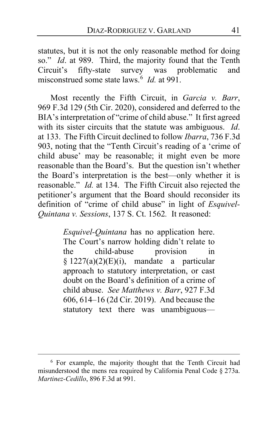statutes, but it is not the only reasonable method for doing so." *Id*. at 989. Third, the majority found that the Tenth Circuit's fifty-state survey was problematic and misconstrued some state laws.[6](#page-40-0) *Id.* at 991.

Most recently the Fifth Circuit, in *Garcia v. Barr*, 969 F.3d 129 (5th Cir. 2020), considered and deferred to the BIA's interpretation of "crime of child abuse." It first agreed with its sister circuits that the statute was ambiguous. *Id*. at 133. The Fifth Circuit declined to follow *Ibarra*, 736 F.3d 903, noting that the "Tenth Circuit's reading of a 'crime of child abuse' may be reasonable; it might even be more reasonable than the Board's. But the question isn't whether the Board's interpretation is the best—only whether it is reasonable." *Id.* at 134. The Fifth Circuit also rejected the petitioner's argument that the Board should reconsider its definition of "crime of child abuse" in light of *Esquivel-Quintana v. Sessions*, 137 S. Ct. 1562*.* It reasoned:

> *Esquivel-Quintana* has no application here. The Court's narrow holding didn't relate to the child-abuse provision in § 1227(a)(2)(E)(i), mandate a particular approach to statutory interpretation, or cast doubt on the Board's definition of a crime of child abuse. *See Matthews v. Barr*, 927 F.3d 606, 614–16 (2d Cir. 2019). And because the statutory text there was unambiguous—

<span id="page-40-0"></span><sup>6</sup> For example, the majority thought that the Tenth Circuit had misunderstood the mens rea required by California Penal Code § 273a. *Martinez-Cedillo*, 896 F.3d at 991.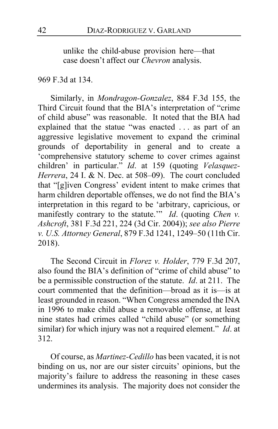unlike the child-abuse provision here—that case doesn't affect our *Chevron* analysis.

### 969 F.3d at 134.

Similarly, in *Mondragon-Gonzalez*, 884 F.3d 155, the Third Circuit found that the BIA's interpretation of "crime of child abuse" was reasonable. It noted that the BIA had explained that the statue "was enacted . . . as part of an aggressive legislative movement to expand the criminal grounds of deportability in general and to create a 'comprehensive statutory scheme to cover crimes against children' in particular." *Id*. at 159 (quoting *Velasquez-Herrera*, 24 I. & N. Dec. at 508–09). The court concluded that "[g]iven Congress' evident intent to make crimes that harm children deportable offenses, we do not find the BIA's interpretation in this regard to be 'arbitrary, capricious, or manifestly contrary to the statute.'" *Id.* (quoting *Chen v. Ashcroft*, 381 F.3d 221, 224 (3d Cir. 2004)); *see also Pierre v. U.S. Attorney General*, 879 F.3d 1241, 1249–50 (11th Cir. 2018).

The Second Circuit in *Florez v. Holder*, 779 F.3d 207, also found the BIA's definition of "crime of child abuse" to be a permissible construction of the statute. *Id*. at 211. The court commented that the definition—broad as it is—is at least grounded in reason. "When Congress amended the INA in 1996 to make child abuse a removable offense, at least nine states had crimes called "child abuse" (or something similar) for which injury was not a required element." *Id*. at 312.

Of course, as *Martinez-Cedillo* has been vacated, it is not binding on us, nor are our sister circuits' opinions, but the majority's failure to address the reasoning in these cases undermines its analysis. The majority does not consider the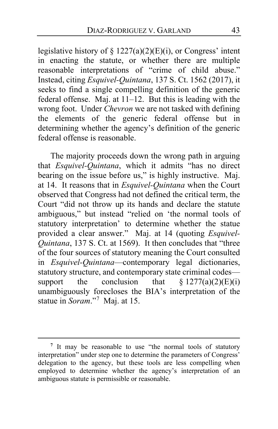legislative history of  $\S 1227(a)(2)(E)(i)$ , or Congress' intent in enacting the statute, or whether there are multiple reasonable interpretations of "crime of child abuse." Instead, citing *Esquivel-Quintana*, 137 S. Ct. 1562 (2017), it seeks to find a single compelling definition of the generic federal offense. Maj. at [11](#page-10-2)[–12.](#page-11-1) But this is leading with the wrong foot. Under *Chevron* we are not tasked with defining the elements of the generic federal offense but in determining whether the agency's definition of the generic federal offense is reasonable.

The majority proceeds down the wrong path in arguing that *Esquivel-Quintana*, which it admits "has no direct bearing on the issue before us," is highly instructive. Maj. at [14.](#page-13-2) It reasons that in *Esquivel-Quintana* when the Court observed that Congress had not defined the critical term, the Court "did not throw up its hands and declare the statute ambiguous," but instead "relied on 'the normal tools of statutory interpretation' to determine whether the statue provided a clear answer." Maj. at [14](#page-13-3) (quoting *Esquivel-Quintana*, 137 S. Ct. at 1569). It then concludes that "three of the four sources of statutory meaning the Court consulted in *Esquivel-Quintana*—contemporary legal dictionaries, statutory structure, and contemporary state criminal codes support the conclusion that  $\S 1277(a)(2)(E)(i)$ unambiguously forecloses the BIA's interpretation of the statue in *Soram*."[7](#page-42-0) Maj. at [15.](#page-14-0)

<span id="page-42-0"></span><sup>&</sup>lt;sup>7</sup> It may be reasonable to use "the normal tools of statutory interpretation" under step one to determine the parameters of Congress' delegation to the agency, but these tools are less compelling when employed to determine whether the agency's interpretation of an ambiguous statute is permissible or reasonable.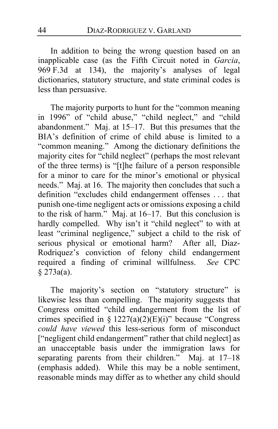In addition to being the wrong question based on an inapplicable case (as the Fifth Circuit noted in *Garcia*, 969 F.3d at 134), the majority's analyses of legal dictionaries, statutory structure, and state criminal codes is less than persuasive.

The majority purports to hunt for the "common meaning in 1996" of "child abuse," "child neglect," and "child abandonment." Maj. at [15–](#page-14-1)[17.](#page-16-0) But this presumes that the BIA's definition of crime of child abuse is limited to a "common meaning." Among the dictionary definitions the majority cites for "child neglect" (perhaps the most relevant of the three terms) is "[t]he failure of a person responsible for a minor to care for the minor's emotional or physical needs." Maj. at [16.](#page-15-0) The majority then concludes that such a definition "excludes child endangerment offenses . . . that punish one-time negligent acts or omissions exposing a child to the risk of harm." Maj. at [16–](#page-15-1)[17.](#page-16-1) But this conclusion is hardly compelled. Why isn't it "child neglect" to with at least "criminal negligence," subject a child to the risk of serious physical or emotional harm? After all, Diaz-Rodriquez's conviction of felony child endangerment required a finding of criminal willfulness. *See* CPC § 273a(a).

The majority's section on "statutory structure" is likewise less than compelling. The majority suggests that Congress omitted "child endangerment from the list of crimes specified in §  $1227(a)(2)(E)(i)$ " because "Congress" *could have viewed* this less-serious form of misconduct ["negligent child endangerment" rather that child neglect] as an unacceptable basis under the immigration laws for separating parents from their children." Maj. at [17](#page-16-2)-18 (emphasis added). While this may be a noble sentiment, reasonable minds may differ as to whether any child should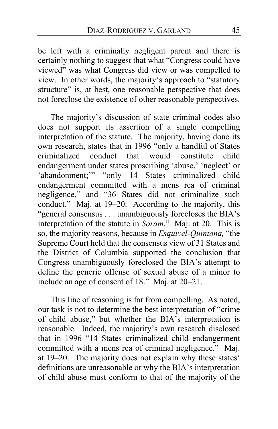be left with a criminally negligent parent and there is certainly nothing to suggest that what "Congress could have viewed" was what Congress did view or was compelled to view. In other words, the majority's approach to "statutory structure" is, at best, one reasonable perspective that does not foreclose the existence of other reasonable perspectives.

The majority's discussion of state criminal codes also does not support its assertion of a single compelling interpretation of the statute. The majority, having done its own research, states that in 1996 "only a handful of States criminalized conduct that would constitute child endangerment under states proscribing 'abuse,' 'neglect' or 'abandonment;'" "only 14 States criminalized child endangerment committed with a mens rea of criminal negligence," and "36 States did not criminalize such conduct." Maj. at [19](#page-18-0)[–20.](#page-19-1) According to the majority, this "general consensus . . . unambiguously forecloses the BIA's interpretation of the statute in *Soram*." Maj. at [20.](#page-19-2) This is so, the majority reasons, because in *Esquivel-Quintana,* "the Supreme Court held that the consensus view of 31 States and the District of Columbia supported the conclusion that Congress unambiguously foreclosed the BIA's attempt to define the generic offense of sexual abuse of a minor to include an age of consent of 18." Maj. at [20–](#page-19-3)[21.](#page-20-1)

This line of reasoning is far from compelling. As noted, our task is not to determine the best interpretation of "crime of child abuse," but whether the BIA's interpretation is reasonable. Indeed, the majority's own research disclosed that in 1996 "14 States criminalized child endangerment committed with a mens rea of criminal negligence." Maj. at [19](#page-18-0)[–20.](#page-19-1) The majority does not explain why these states' definitions are unreasonable or why the BIA's interpretation of child abuse must conform to that of the majority of the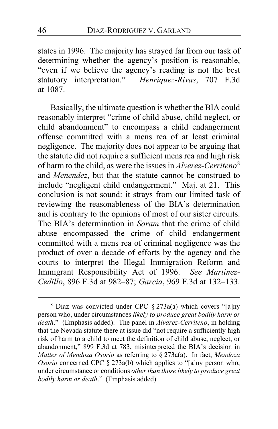states in 1996. The majority has strayed far from our task of determining whether the agency's position is reasonable, "even if we believe the agency's reading is not the best statutory interpretation." *Henriquez-Rivas*, 707 F.3d at 1087.

Basically, the ultimate question is whether the BIA could reasonably interpret "crime of child abuse, child neglect, or child abandonment" to encompass a child endangerment offense committed with a mens rea of at least criminal negligence. The majority does not appear to be arguing that the statute did not require a sufficient mens rea and high risk of harm to the child, as were the issues in *Alverez-Cerriteno*[8](#page-45-0) and *Menendez*, but that the statute cannot be construed to include "negligent child endangerment." Maj. at [21.](#page-20-2) This conclusion is not sound: it strays from our limited task of reviewing the reasonableness of the BIA's determination and is contrary to the opinions of most of our sister circuits. The BIA's determination in *Soram* that the crime of child abuse encompassed the crime of child endangerment committed with a mens rea of criminal negligence was the product of over a decade of efforts by the agency and the courts to interpret the Illegal Immigration Reform and Immigrant Responsibility Act of 1996. *See Martinez-Cedillo*, 896 F.3d at 982–87; *Garcia*, 969 F.3d at 132–133.

<span id="page-45-0"></span><sup>8</sup> Diaz was convicted under CPC § 273a(a) which covers "[a]ny person who, under circumstances *likely to produce great bodily harm or death*." (Emphasis added). The panel in *Alvarez-Cerriteno*, in holding that the Nevada statute there at issue did "not require a sufficiently high risk of harm to a child to meet the definition of child abuse, neglect, or abandonment," 899 F.3d at 783, misinterpreted the BIA's decision in *Matter of Mendoza Osorio* as referring to § 273a(a). In fact, *Mendoza Osorio* concerned CPC § 273a(b) which applies to "[a]ny person who, under circumstance or conditions *other than those likely to produce great bodily harm or death*." (Emphasis added).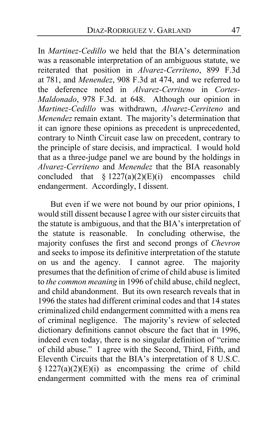In *Martinez-Cedillo* we held that the BIA's determination was a reasonable interpretation of an ambiguous statute, we reiterated that position in *Alvarez-Cerriteno*, 899 F.3d at 781, and *Menendez*, 908 F.3d at 474, and we referred to the deference noted in *Alvarez-Cerriteno* in *Cortes-Maldonado*, 978 F.3d. at 648. Although our opinion in *Martinez-Cedillo* was withdrawn, *Alvarez-Cerriteno* and *Menendez* remain extant. The majority's determination that it can ignore these opinions as precedent is unprecedented, contrary to Ninth Circuit case law on precedent, contrary to the principle of stare decisis, and impractical. I would hold that as a three-judge panel we are bound by the holdings in *Alvarez-Cerriteno* and *Menendez* that the BIA reasonably concluded that  $\S 1227(a)(2)(E)(i)$  encompasses child endangerment. Accordingly, I dissent.

But even if we were not bound by our prior opinions, I would still dissent because I agree with our sister circuits that the statute is ambiguous, and that the BIA's interpretation of the statute is reasonable. In concluding otherwise, the majority confuses the first and second prongs of *Chevron* and seeks to impose its definitive interpretation of the statute on us and the agency. I cannot agree. The majority presumes that the definition of crime of child abuse is limited to *the common meaning* in 1996 of child abuse, child neglect, and child abandonment. But its own research reveals that in 1996 the states had different criminal codes and that 14 states criminalized child endangerment committed with a mens rea of criminal negligence. The majority's review of selected dictionary definitions cannot obscure the fact that in 1996, indeed even today, there is no singular definition of "crime of child abuse." I agree with the Second, Third, Fifth, and Eleventh Circuits that the BIA's interpretation of 8 U.S.C.  $§ 1227(a)(2)(E)(i)$  as encompassing the crime of child endangerment committed with the mens rea of criminal